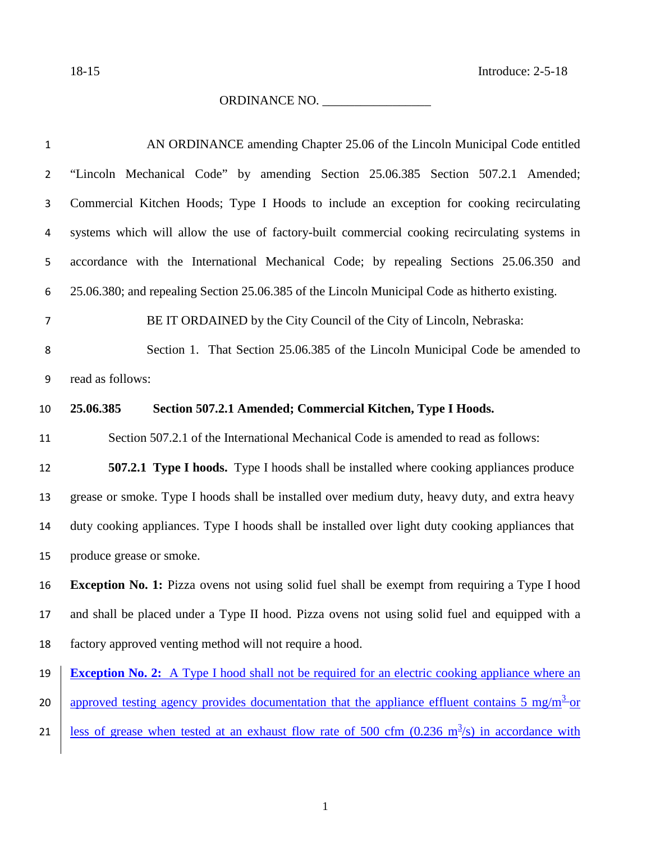ORDINANCE NO. \_\_\_\_\_\_\_\_\_\_\_\_\_\_\_\_\_

| $\mathbf{1}$   | AN ORDINANCE amending Chapter 25.06 of the Lincoln Municipal Code entitled                                      |  |  |
|----------------|-----------------------------------------------------------------------------------------------------------------|--|--|
| $\overline{2}$ | "Lincoln Mechanical Code" by amending Section 25.06.385 Section 507.2.1 Amended;                                |  |  |
| $\mathbf{3}$   | Commercial Kitchen Hoods; Type I Hoods to include an exception for cooking recirculating                        |  |  |
| 4              | systems which will allow the use of factory-built commercial cooking recirculating systems in                   |  |  |
| 5              | accordance with the International Mechanical Code; by repealing Sections 25.06.350 and                          |  |  |
| 6              | 25.06.380; and repealing Section 25.06.385 of the Lincoln Municipal Code as hitherto existing.                  |  |  |
| $\overline{7}$ | BE IT ORDAINED by the City Council of the City of Lincoln, Nebraska:                                            |  |  |
| 8              | Section 1. That Section 25.06.385 of the Lincoln Municipal Code be amended to                                   |  |  |
| 9              | read as follows:                                                                                                |  |  |
| 10             | 25.06.385<br>Section 507.2.1 Amended; Commercial Kitchen, Type I Hoods.                                         |  |  |
| 11             | Section 507.2.1 of the International Mechanical Code is amended to read as follows:                             |  |  |
| 12             | <b>507.2.1 Type I hoods.</b> Type I hoods shall be installed where cooking appliances produce                   |  |  |
| 13             | grease or smoke. Type I hoods shall be installed over medium duty, heavy duty, and extra heavy                  |  |  |
| 14             | duty cooking appliances. Type I hoods shall be installed over light duty cooking appliances that                |  |  |
| 15             | produce grease or smoke.                                                                                        |  |  |
| 16             | <b>Exception No. 1:</b> Pizza ovens not using solid fuel shall be exempt from requiring a Type I hood           |  |  |
| 17             | and shall be placed under a Type II hood. Pizza ovens not using solid fuel and equipped with a                  |  |  |
| 18             | factory approved venting method will not require a hood.                                                        |  |  |
| 19             | <b>Exception No. 2:</b> A Type I hood shall not be required for an electric cooking appliance where an          |  |  |
| 20             | approved testing agency provides documentation that the appliance effluent contains 5 mg/m <sup>3</sup> or      |  |  |
| 21             | <u>less of grease when tested at an exhaust flow rate of 500 cfm (0.236 m<sup>3</sup>/s) in accordance with</u> |  |  |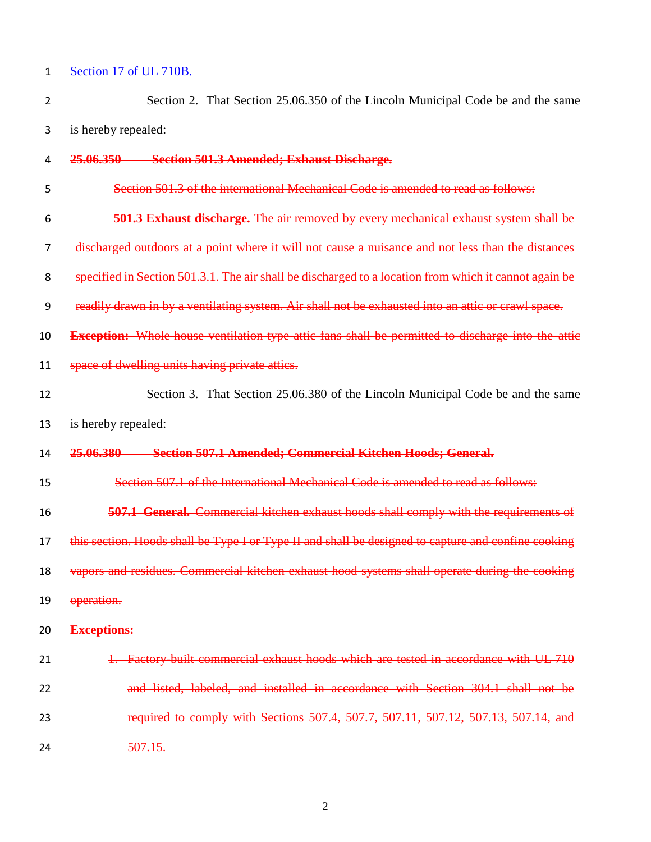## 1 <u>Section 17 of UL 710B.</u>

 $\overline{\phantom{a}}$ 

2 Section 2. That Section 25.06.350 of the Lincoln Municipal Code be and the same is hereby repealed:

| 4  | 25.06.350 Section 501.3 Amended; Exhaust Discharge.                                                      |  |  |
|----|----------------------------------------------------------------------------------------------------------|--|--|
| 5  | Section 501.3 of the international Mechanical Code is amended to read as follows:                        |  |  |
| 6  | <b>501.3 Exhaust discharge.</b> The air removed by every mechanical exhaust system shall be              |  |  |
| 7  | discharged outdoors at a point where it will not cause a nuisance and not less than the distances        |  |  |
| 8  | specified in Section 501.3.1. The air shall be discharged to a location from which it cannot again be    |  |  |
| 9  | readily drawn in by a ventilating system. Air shall not be exhausted into an attic or crawl space.       |  |  |
| 10 | <b>Exception:</b> Whole house ventilation type attic fans shall be permitted to discharge into the attic |  |  |
| 11 | space of dwelling units having private attics.                                                           |  |  |
| 12 | Section 3. That Section 25.06.380 of the Lincoln Municipal Code be and the same                          |  |  |
| 13 | is hereby repealed:                                                                                      |  |  |
| 14 | 25.06.380<br><b>Section 507.1 Amended: Commercial Kitchen Hoods; General.</b>                            |  |  |
| 15 | Section 507.1 of the International Mechanical Code is amended to read as follows:                        |  |  |
| 16 | <b>507.1 General.</b> Commercial kitchen exhaust hoods shall comply with the requirements of             |  |  |
| 17 | this section. Hoods shall be Type I or Type II and shall be designed to capture and confine cooking      |  |  |
| 18 | vapors and residues. Commercial kitchen exhaust hood systems shall operate during the cooking            |  |  |
| 19 | operation.                                                                                               |  |  |
| 20 | <b>Exceptions:</b>                                                                                       |  |  |
| 21 | 1. Factory-built commercial exhaust hoods which are tested in accordance with UL 710                     |  |  |
| 22 | and listed, labeled, and installed in accordance with Section 304.1 shall not be                         |  |  |
| 23 | required to comply with Sections 507.4, 507.7, 507.11, 507.12, 507.13, 507.14, and                       |  |  |
| 24 | 507.15.                                                                                                  |  |  |